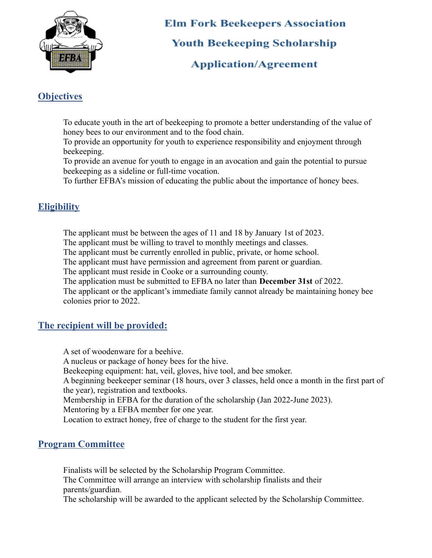

# **Elm Fork Beekeepers Association Youth Beekeeping Scholarship**

## **Application/Agreement**

## **Objectives**

To educate youth in the art of beekeeping to promote a better understanding of the value of honey bees to our environment and to the food chain.

To provide an opportunity for youth to experience responsibility and enjoyment through beekeeping.

To provide an avenue for youth to engage in an avocation and gain the potential to pursue beekeeping as a sideline or full-time vocation.

To further EFBA's mission of educating the public about the importance of honey bees.

#### **Eligibility**

The applicant must be between the ages of 11 and 18 by January 1st of 2023.

The applicant must be willing to travel to monthly meetings and classes.

The applicant must be currently enrolled in public, private, or home school.

The applicant must have permission and agreement from parent or guardian.

The applicant must reside in Cooke or a surrounding county.

The application must be submitted to EFBA no later than **December 31st** of 2022.

The applicant or the applicant's immediate family cannot already be maintaining honey bee colonies prior to 2022.

# **The recipient will be provided:**

A set of woodenware for a beehive. A nucleus or package of honey bees for the hive. Beekeeping equipment: hat, veil, gloves, hive tool, and bee smoker. A beginning beekeeper seminar (18 hours, over 3 classes, held once a month in the first part of the year), registration and textbooks. Membership in EFBA for the duration of the scholarship (Jan 2022-June 2023). Mentoring by a EFBA member for one year. Location to extract honey, free of charge to the student for the first year.

#### **Program Committee**

Finalists will be selected by the Scholarship Program Committee. The Committee will arrange an interview with scholarship finalists and their parents/guardian.

The scholarship will be awarded to the applicant selected by the Scholarship Committee.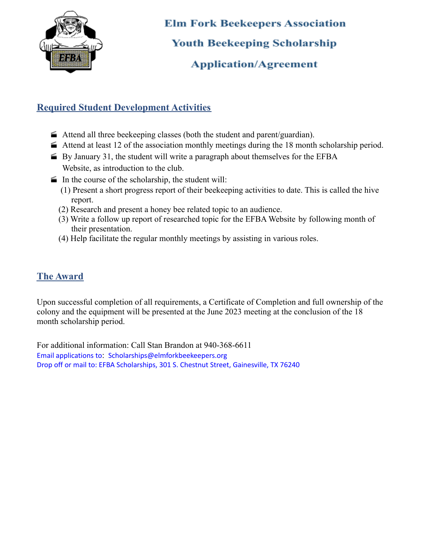

**Elm Fork Beekeepers Association Youth Beekeeping Scholarship Application/Agreement** 

#### **Required Student Development Activities**

- Attend all three beekeeping classes (both the student and parent/guardian).
- $\blacktriangleright$  Attend at least 12 of the association monthly meetings during the 18 month scholarship period.
- $\blacktriangleright$  By January 31, the student will write a paragraph about themselves for the EFBA Website, as introduction to the club.
- $\blacksquare$  In the course of the scholarship, the student will:
	- (1) Present a short progress report of their beekeeping activities to date. This is called the hive report.
	- (2) Research and present a honey bee related topic to an audience.
	- (3) Write a follow up report of researched topic for the EFBA Website by following month of their presentation.
	- (4) Help facilitate the regular monthly meetings by assisting in various roles.

#### **The Award**

Upon successful completion of all requirements, a Certificate of Completion and full ownership of the colony and the equipment will be presented at the June 2023 meeting at the conclusion of the 18 month scholarship period.

For additional information: Call Stan Brandon at 940-368-6611 Email applications to: [Scholarships@elmforkbeekeepers.org](mailto:Scholarships@elmforkbeekeepers.org) Drop off or mail to: EFBA Scholarships, 301 S. Chestnut Street, Gainesville, TX 76240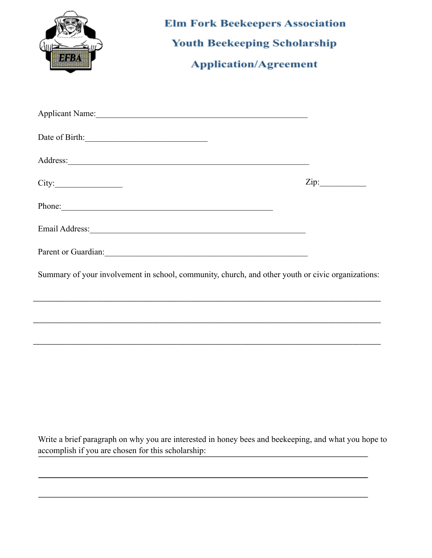| DIBBA                                                                                             | <b>Elm Fork Beekeepers Association</b><br><b>Youth Beekeeping Scholarship</b><br><b>Application/Agreement</b> |  |
|---------------------------------------------------------------------------------------------------|---------------------------------------------------------------------------------------------------------------|--|
|                                                                                                   |                                                                                                               |  |
| Date of Birth:                                                                                    |                                                                                                               |  |
|                                                                                                   | Address:                                                                                                      |  |
| City:                                                                                             |                                                                                                               |  |
| Phone:                                                                                            |                                                                                                               |  |
|                                                                                                   |                                                                                                               |  |
|                                                                                                   |                                                                                                               |  |
| Summary of your involvement in school, community, church, and other youth or civic organizations: |                                                                                                               |  |
|                                                                                                   |                                                                                                               |  |
|                                                                                                   |                                                                                                               |  |
|                                                                                                   |                                                                                                               |  |
|                                                                                                   |                                                                                                               |  |
|                                                                                                   |                                                                                                               |  |
|                                                                                                   |                                                                                                               |  |

Write a brief paragraph on why you are interested in honey bees and beekeeping, and what you hope to accomplish if you are chosen for this scholarship: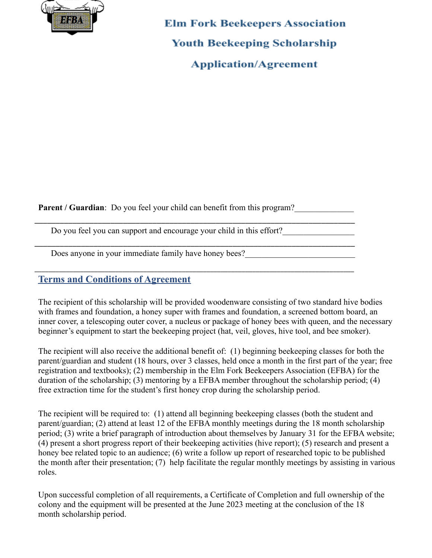

**Elm Fork Beekeepers Association Youth Beekeeping Scholarship Application/Agreement** 

**Parent / Guardian**: Do you feel your child can benefit from this program?

\_\_\_\_\_\_\_\_\_\_\_\_\_\_\_\_\_\_\_\_\_\_\_\_\_\_\_\_\_\_\_\_\_\_\_\_\_\_\_\_\_\_\_\_\_\_\_\_\_\_\_\_\_\_\_\_\_\_\_\_\_\_\_\_\_\_\_\_\_\_\_\_\_\_\_\_

\_\_\_\_\_\_\_\_\_\_\_\_\_\_\_\_\_\_\_\_\_\_\_\_\_\_\_\_\_\_\_\_\_\_\_\_\_\_\_\_\_\_\_\_\_\_\_\_\_\_\_\_\_\_\_\_\_\_\_\_\_\_\_\_\_\_\_\_\_\_\_\_\_\_\_\_

\_\_\_\_\_\_\_\_\_\_\_\_\_\_\_\_\_\_\_\_\_\_\_\_\_\_\_\_\_\_\_\_\_\_\_\_\_\_\_\_\_\_\_\_\_\_\_\_\_\_\_\_\_\_\_\_\_\_\_\_\_\_\_\_\_\_\_\_\_\_\_\_\_\_\_\_\_\_\_\_\_\_\_\_\_\_\_\_\_\_\_

Do you feel you can support and encourage your child in this effort?

Does anyone in your immediate family have honey bees?\_\_\_\_\_\_\_\_\_\_\_\_\_\_\_\_\_\_\_\_\_\_\_\_\_\_\_

#### **Terms and Conditions of Agreement**

The recipient of this scholarship will be provided woodenware consisting of two standard hive bodies with frames and foundation, a honey super with frames and foundation, a screened bottom board, an inner cover, a telescoping outer cover, a nucleus or package of honey bees with queen, and the necessary beginner's equipment to start the beekeeping project (hat, veil, gloves, hive tool, and bee smoker).

The recipient will also receive the additional benefit of: (1) beginning beekeeping classes for both the parent/guardian and student (18 hours, over 3 classes, held once a month in the first part of the year; free registration and textbooks); (2) membership in the Elm Fork Beekeepers Association (EFBA) for the duration of the scholarship; (3) mentoring by a EFBA member throughout the scholarship period; (4) free extraction time for the student's first honey crop during the scholarship period.

The recipient will be required to: (1) attend all beginning beekeeping classes (both the student and parent/guardian; (2) attend at least 12 of the EFBA monthly meetings during the 18 month scholarship period; (3) write a brief paragraph of introduction about themselves by January 31 for the EFBA website; (4) present a short progress report of their beekeeping activities (hive report); (5) research and present a honey bee related topic to an audience; (6) write a follow up report of researched topic to be published the month after their presentation; (7) help facilitate the regular monthly meetings by assisting in various roles.

Upon successful completion of all requirements, a Certificate of Completion and full ownership of the colony and the equipment will be presented at the June 2023 meeting at the conclusion of the 18 month scholarship period.